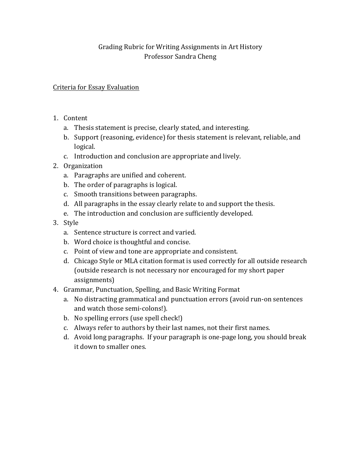## Grading Rubric for Writing Assignments in Art History Professor Sandra Cheng

## Criteria for Essay Evaluation

- 1. Content
	- a. Thesis statement is precise, clearly stated, and interesting.
	- b. Support (reasoning, evidence) for thesis statement is relevant, reliable, and logical.
	- c. Introduction and conclusion are appropriate and lively.
- 2. Organization
	- a. Paragraphs are unified and coherent.
	- b. The order of paragraphs is logical.
	- c. Smooth transitions between paragraphs.
	- d. All paragraphs in the essay clearly relate to and support the thesis.
	- e. The introduction and conclusion are sufficiently developed.
- 3. Style
	- a. Sentence structure is correct and varied.
	- b. Word choice is thoughtful and concise.
	- c. Point of view and tone are appropriate and consistent.
	- d. Chicago Style or MLA citation format is used correctly for all outside research (outside research is not necessary nor encouraged for my short paper) assignments)
- 4. Grammar, Punctuation, Spelling, and Basic Writing Format
	- a. No distracting grammatical and punctuation errors (avoid run-on sentences) and watch those semi-colons!).
	- b. No spelling errors (use spell check!)
	- c. Always refer to authors by their last names, not their first names.
	- d. Avoid long paragraphs. If your paragraph is one-page long, you should break it down to smaller ones.